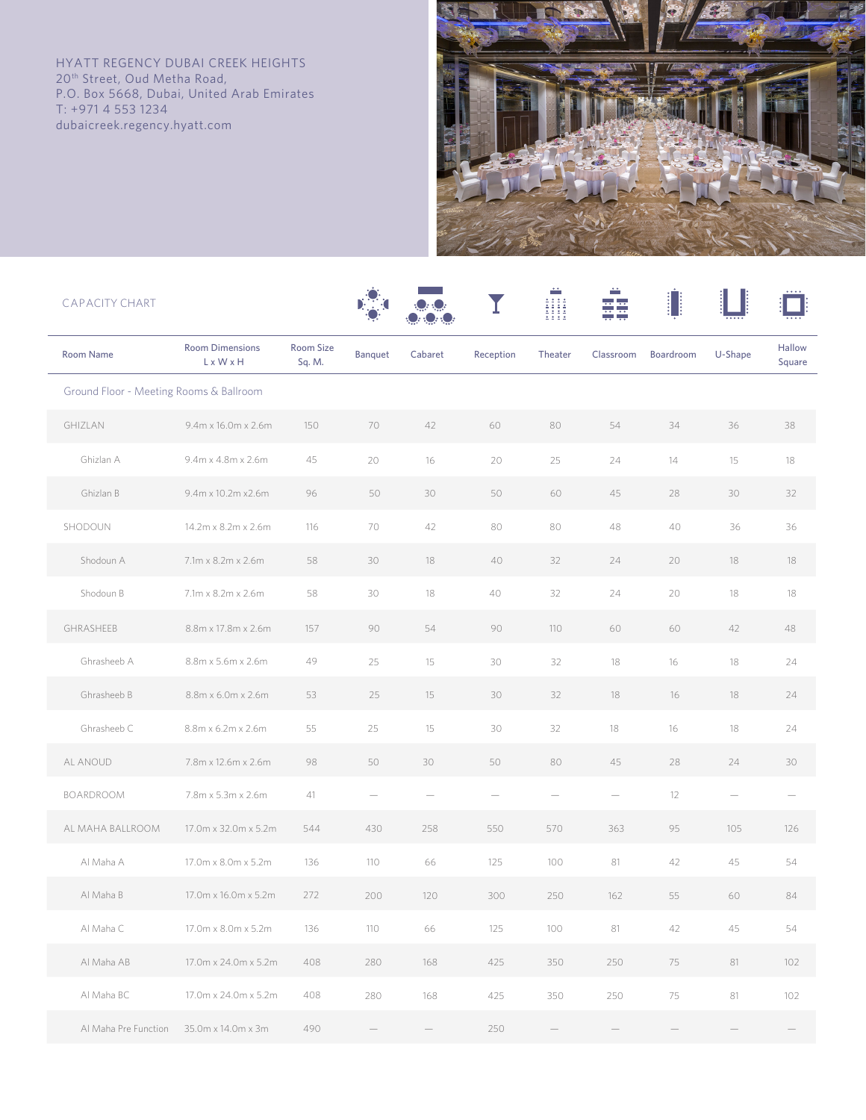HYATT REGENCY DUBAI CREEK HEIGHTS 20<sup>th</sup> Street, Oud Metha Road, P.O. Box 5668, Dubai, United Arab Emirates T: +971 4 553 1234 dubaicreek.regency.hyatt.com



| <b>CAPACITY CHART</b>                   |                                         |                            |                |         |           | ÷<br>2222<br>2222<br>00 |                          | li        |         |                  |
|-----------------------------------------|-----------------------------------------|----------------------------|----------------|---------|-----------|-------------------------|--------------------------|-----------|---------|------------------|
| <b>Room Name</b>                        | <b>Room Dimensions</b><br>L x W x H     | <b>Room Size</b><br>Sq. M. | <b>Banquet</b> | Cabaret | Reception | Theater                 | Classroom                | Boardroom | U-Shape | Hallow<br>Square |
| Ground Floor - Meeting Rooms & Ballroom |                                         |                            |                |         |           |                         |                          |           |         |                  |
| GHIZLAN                                 | 9.4m x 16.0m x 2.6m                     | 150                        | 70             | 42      | 60        | 80                      | 54                       | 34        | 36      | 38               |
| Ghizlan A                               | 9.4m x 4.8m x 2.6m                      | 45                         | 20             | 16      | 20        | 25                      | 24                       | 14        | 15      | 18               |
| Ghizlan B                               | 9.4m x 10.2m x2.6m                      | 96                         | 50             | 30      | 50        | 60                      | 45                       | 28        | 30      | 32               |
| SHODOUN                                 | 14.2m x 8.2m x 2.6m                     | 116                        | 70             | 42      | 80        | 80                      | 48                       | 40        | 36      | 36               |
| Shodoun A                               | 7.1m x 8.2m x 2.6m                      | 58                         | 30             | 18      | 40        | 32                      | 24                       | 20        | 18      | 18               |
| Shodoun B                               | 7.1m x 8.2m x 2.6m                      | 58                         | 30             | 18      | 40        | 32                      | 24                       | 20        | 18      | 18               |
| GHRASHEEB                               | 8.8m x 17.8m x 2.6m                     | 157                        | 90             | 54      | 90        | 110                     | 60                       | 60        | 42      | 48               |
| Ghrasheeb A                             | 8.8m x 5.6m x 2.6m                      | 49                         | 25             | 15      | 30        | 32                      | 18                       | 16        | 18      | 24               |
| Ghrasheeb B                             | 8.8m x 6.0m x 2.6m                      | 53                         | 25             | 15      | 30        | 32                      | 18                       | 16        | 18      | 24               |
| Ghrasheeb C                             | 8.8m x 6.2m x 2.6m                      | 55                         | 25             | 15      | 30        | 32                      | 18                       | 16        | 18      | 24               |
| AL ANOUD                                | 7.8m x 12.6m x 2.6m                     | 98                         | 50             | 30      | 50        | 80                      | 45                       | 28        | 24      | 30               |
| BOARDROOM                               | 7.8m x 5.3m x 2.6m                      | 41                         |                |         |           |                         | $\overline{\phantom{0}}$ | 12        |         |                  |
| AL MAHA BALLROOM                        | 17.0m x 32.0m x 5.2m                    | 544                        | 430            | 258     | 550       | 570                     | 363                      | 95        | 105     | 126              |
| Al Maha A                               | 17.0m x 8.0m x 5.2m                     | 136                        | 110            | 66      | 125       | 100                     | 81                       | 42        | 45      | 54               |
| Al Maha B                               | 17.0m x 16.0m x 5.2m                    | 272                        | 200            | 120     | 300       | 250                     | 162                      | 55        | 60      | 84               |
| Al Maha C                               | 17.0m x 8.0m x 5.2m                     | 136                        | 110            | 66      | 125       | $100\,$                 | $8\,$                    | $42\,$    | $45\,$  | 54               |
| Al Maha AB                              | 17.0m x 24.0m x 5.2m                    | 408                        | 280            | 168     | 425       | 350                     | 250                      | 75        | 81      | 102              |
| Al Maha BC                              | 17.0m x 24.0m x 5.2m                    | 408                        | 280            | 168     | 425       | 350                     | 250                      | 75        | 81      | 102              |
|                                         | Al Maha Pre Function 35.0m x 14.0m x 3m | 490                        |                |         | 250       |                         |                          |           |         |                  |